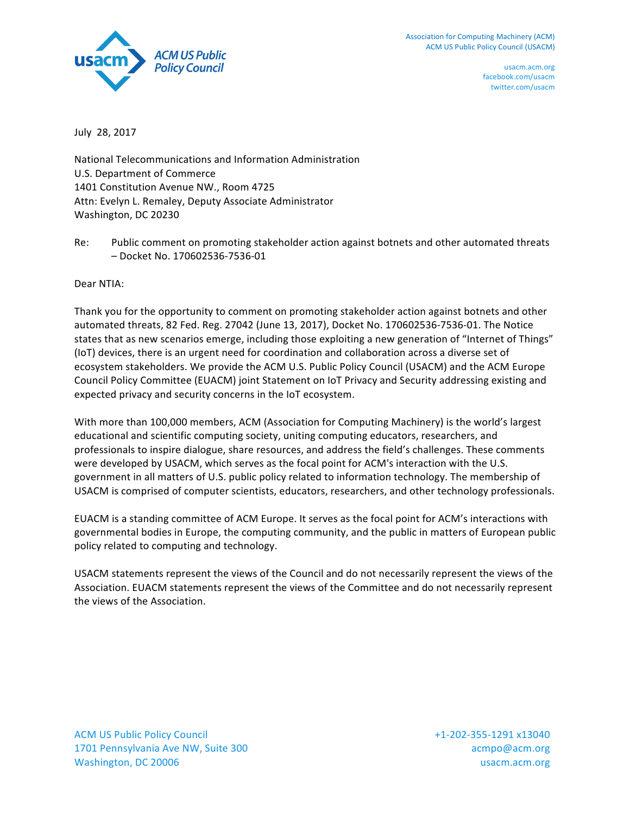

July 28, 2017

National Telecommunications and Information Administration U.S. Department of Commerce 1401 Constitution Avenue NW., Room 4725 Attn: Evelyn L. Remaley, Deputy Associate Administrator Washington, DC 20230

Re: Public comment on promoting stakeholder action against botnets and other automated threats – Docket No. 170602536-7536-01

Dear NTIA:

Thank you for the opportunity to comment on promoting stakeholder action against botnets and other automated threats, 82 Fed. Reg. 27042 (June 13, 2017), Docket No. 170602536-7536-01. The Notice states that as new scenarios emerge, including those exploiting a new generation of "Internet of Things" (IoT) devices, there is an urgent need for coordination and collaboration across a diverse set of ecosystem stakeholders. We provide the ACM U.S. Public Policy Council (USACM) and the ACM Europe Council Policy Committee (EUACM) joint Statement on IoT Privacy and Security addressing existing and expected privacy and security concerns in the IoT ecosystem.

With more than 100,000 members, ACM (Association for Computing Machinery) is the world's largest educational and scientific computing society, uniting computing educators, researchers, and professionals to inspire dialogue, share resources, and address the field's challenges. These comments were developed by USACM, which serves as the focal point for ACM's interaction with the U.S. government in all matters of U.S. public policy related to information technology. The membership of USACM is comprised of computer scientists, educators, researchers, and other technology professionals.

EUACM is a standing committee of ACM Europe. It serves as the focal point for ACM's interactions with governmental bodies in Europe, the computing community, and the public in matters of European public policy related to computing and technology.

USACM statements represent the views of the Council and do not necessarily represent the views of the Association. EUACM statements represent the views of the Committee and do not necessarily represent the views of the Association.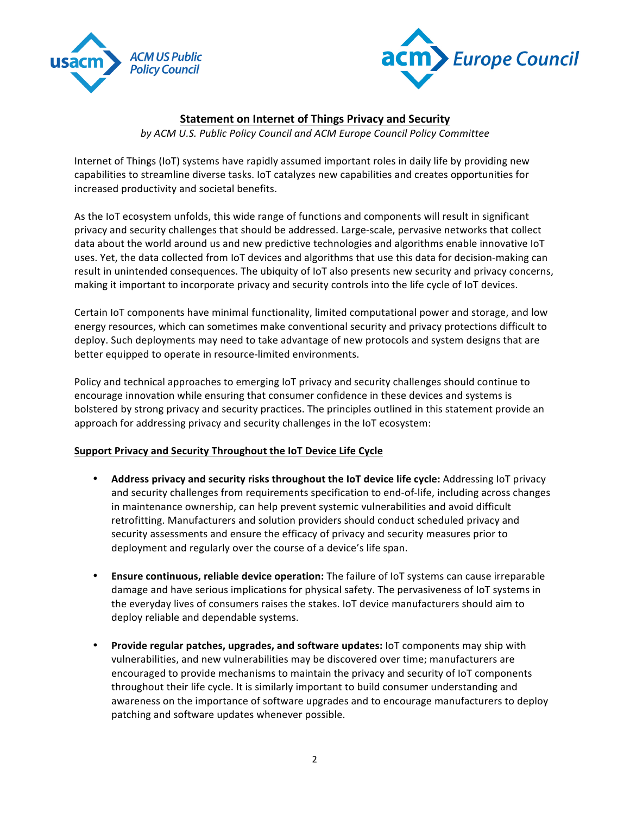



# **Statement on Internet of Things Privacy and Security**

by ACM U.S. Public Policy Council and ACM Europe Council Policy Committee

Internet of Things (IoT) systems have rapidly assumed important roles in daily life by providing new capabilities to streamline diverse tasks. IoT catalyzes new capabilities and creates opportunities for increased productivity and societal benefits.

As the IoT ecosystem unfolds, this wide range of functions and components will result in significant privacy and security challenges that should be addressed. Large-scale, pervasive networks that collect data about the world around us and new predictive technologies and algorithms enable innovative IoT uses. Yet, the data collected from IoT devices and algorithms that use this data for decision-making can result in unintended consequences. The ubiquity of IoT also presents new security and privacy concerns, making it important to incorporate privacy and security controls into the life cycle of IoT devices.

Certain IoT components have minimal functionality, limited computational power and storage, and low energy resources, which can sometimes make conventional security and privacy protections difficult to deploy. Such deployments may need to take advantage of new protocols and system designs that are better equipped to operate in resource-limited environments.

Policy and technical approaches to emerging IoT privacy and security challenges should continue to encourage innovation while ensuring that consumer confidence in these devices and systems is bolstered by strong privacy and security practices. The principles outlined in this statement provide an approach for addressing privacy and security challenges in the IoT ecosystem:

## **Support Privacy and Security Throughout the IoT Device Life Cycle**

- Address privacy and security risks throughout the IoT device life cycle: Addressing IoT privacy and security challenges from requirements specification to end-of-life, including across changes in maintenance ownership, can help prevent systemic vulnerabilities and avoid difficult retrofitting. Manufacturers and solution providers should conduct scheduled privacy and security assessments and ensure the efficacy of privacy and security measures prior to deployment and regularly over the course of a device's life span.
- **Ensure continuous, reliable device operation:** The failure of IoT systems can cause irreparable damage and have serious implications for physical safety. The pervasiveness of IoT systems in the everyday lives of consumers raises the stakes. IoT device manufacturers should aim to deploy reliable and dependable systems.
- **Provide regular patches, upgrades, and software updates:** IoT components may ship with vulnerabilities, and new vulnerabilities may be discovered over time; manufacturers are encouraged to provide mechanisms to maintain the privacy and security of IoT components throughout their life cycle. It is similarly important to build consumer understanding and awareness on the importance of software upgrades and to encourage manufacturers to deploy patching and software updates whenever possible.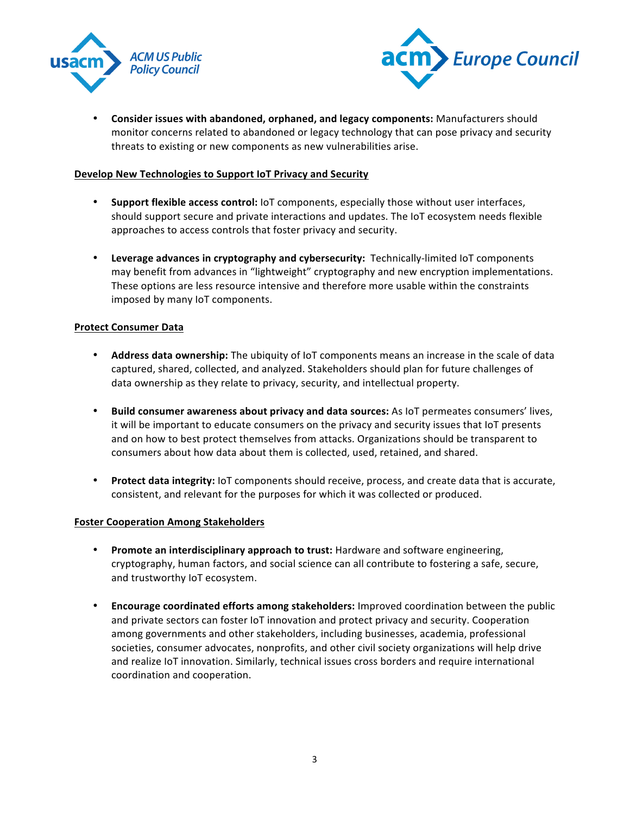



**Consider issues with abandoned, orphaned, and legacy components:** Manufacturers should monitor concerns related to abandoned or legacy technology that can pose privacy and security threats to existing or new components as new vulnerabilities arise.

### **Develop New Technologies to Support IoT Privacy and Security**

- **Support flexible access control:** IoT components, especially those without user interfaces, should support secure and private interactions and updates. The IoT ecosystem needs flexible approaches to access controls that foster privacy and security.
- **Leverage advances in cryptography and cybersecurity:** Technically-limited IoT components may benefit from advances in "lightweight" cryptography and new encryption implementations. These options are less resource intensive and therefore more usable within the constraints imposed by many IoT components.

### **Protect Consumer Data**

- Address data ownership: The ubiquity of IoT components means an increase in the scale of data captured, shared, collected, and analyzed. Stakeholders should plan for future challenges of data ownership as they relate to privacy, security, and intellectual property.
- **Build consumer awareness about privacy and data sources:** As IoT permeates consumers' lives, it will be important to educate consumers on the privacy and security issues that IoT presents and on how to best protect themselves from attacks. Organizations should be transparent to consumers about how data about them is collected, used, retained, and shared.
- Protect data integrity: IoT components should receive, process, and create data that is accurate, consistent, and relevant for the purposes for which it was collected or produced.

#### **Foster Cooperation Among Stakeholders**

- **Promote an interdisciplinary approach to trust:** Hardware and software engineering, cryptography, human factors, and social science can all contribute to fostering a safe, secure, and trustworthy IoT ecosystem.
- **Encourage coordinated efforts among stakeholders:** Improved coordination between the public and private sectors can foster IoT innovation and protect privacy and security. Cooperation among governments and other stakeholders, including businesses, academia, professional societies, consumer advocates, nonprofits, and other civil society organizations will help drive and realize IoT innovation. Similarly, technical issues cross borders and require international coordination and cooperation.